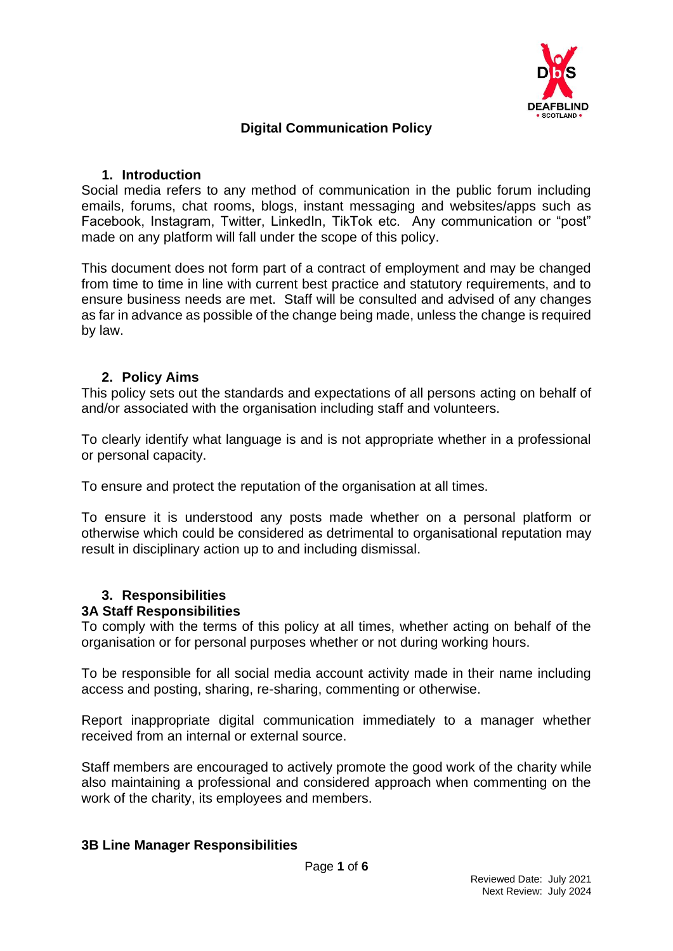

# **Digital Communication Policy**

### **1. Introduction**

Social media refers to any method of communication in the public forum including emails, forums, chat rooms, blogs, instant messaging and websites/apps such as Facebook, Instagram, Twitter, LinkedIn, TikTok etc. Any communication or "post" made on any platform will fall under the scope of this policy.

This document does not form part of a contract of employment and may be changed from time to time in line with current best practice and statutory requirements, and to ensure business needs are met. Staff will be consulted and advised of any changes as far in advance as possible of the change being made, unless the change is required by law.

### **2. Policy Aims**

This policy sets out the standards and expectations of all persons acting on behalf of and/or associated with the organisation including staff and volunteers.

To clearly identify what language is and is not appropriate whether in a professional or personal capacity.

To ensure and protect the reputation of the organisation at all times.

To ensure it is understood any posts made whether on a personal platform or otherwise which could be considered as detrimental to organisational reputation may result in disciplinary action up to and including dismissal.

#### **3. Responsibilities 3A Staff Responsibilities**

To comply with the terms of this policy at all times, whether acting on behalf of the organisation or for personal purposes whether or not during working hours.

To be responsible for all social media account activity made in their name including access and posting, sharing, re-sharing, commenting or otherwise.

Report inappropriate digital communication immediately to a manager whether received from an internal or external source.

Staff members are encouraged to actively promote the good work of the charity while also maintaining a professional and considered approach when commenting on the work of the charity, its employees and members.

#### **3B Line Manager Responsibilities**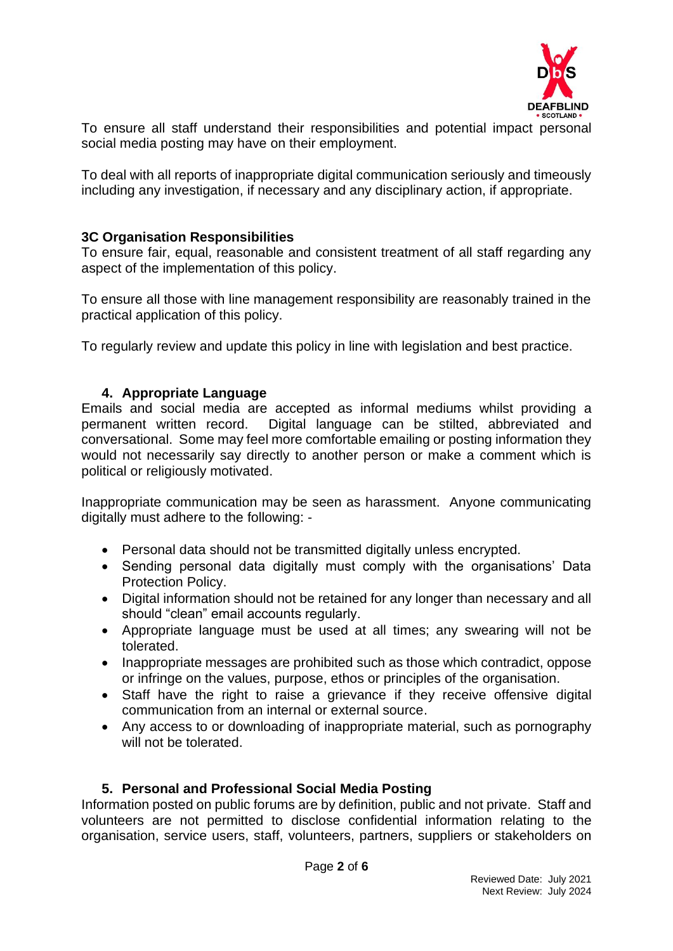

To ensure all staff understand their responsibilities and potential impact personal social media posting may have on their employment.

To deal with all reports of inappropriate digital communication seriously and timeously including any investigation, if necessary and any disciplinary action, if appropriate.

### **3C Organisation Responsibilities**

To ensure fair, equal, reasonable and consistent treatment of all staff regarding any aspect of the implementation of this policy.

To ensure all those with line management responsibility are reasonably trained in the practical application of this policy.

To regularly review and update this policy in line with legislation and best practice.

### **4. Appropriate Language**

Emails and social media are accepted as informal mediums whilst providing a permanent written record. Digital language can be stilted, abbreviated and conversational. Some may feel more comfortable emailing or posting information they would not necessarily say directly to another person or make a comment which is political or religiously motivated.

Inappropriate communication may be seen as harassment. Anyone communicating digitally must adhere to the following: -

- Personal data should not be transmitted digitally unless encrypted.
- Sending personal data digitally must comply with the organisations' Data Protection Policy.
- Digital information should not be retained for any longer than necessary and all should "clean" email accounts regularly.
- Appropriate language must be used at all times; any swearing will not be tolerated.
- Inappropriate messages are prohibited such as those which contradict, oppose or infringe on the values, purpose, ethos or principles of the organisation.
- Staff have the right to raise a grievance if they receive offensive digital communication from an internal or external source.
- Any access to or downloading of inappropriate material, such as pornography will not be tolerated.

# **5. Personal and Professional Social Media Posting**

Information posted on public forums are by definition, public and not private. Staff and volunteers are not permitted to disclose confidential information relating to the organisation, service users, staff, volunteers, partners, suppliers or stakeholders on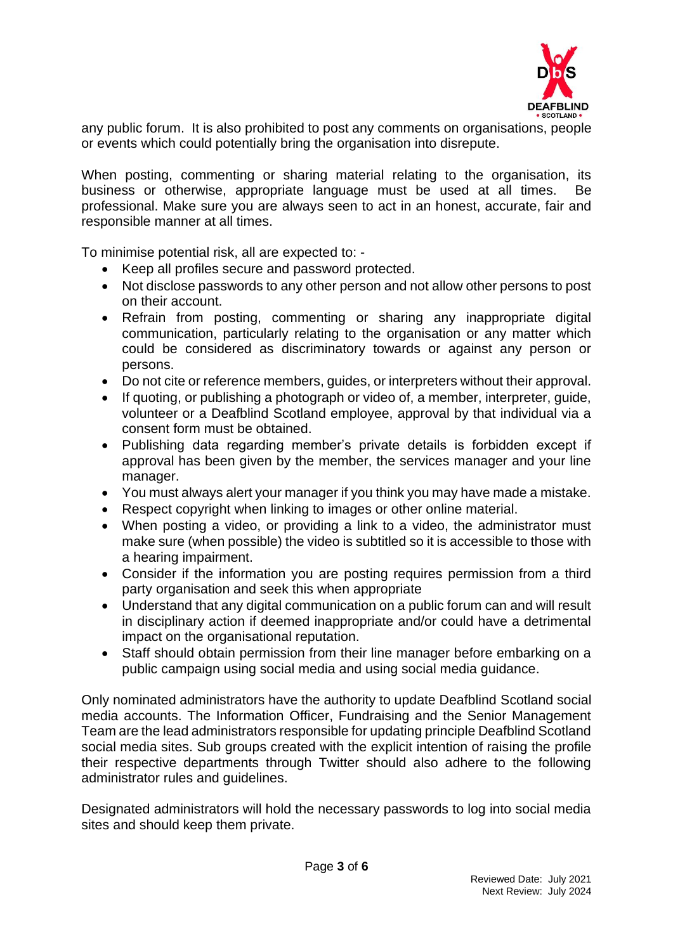

any public forum. It is also prohibited to post any comments on organisations, people or events which could potentially bring the organisation into disrepute.

When posting, commenting or sharing material relating to the organisation, its business or otherwise, appropriate language must be used at all times. Be professional. Make sure you are always seen to act in an honest, accurate, fair and responsible manner at all times.

To minimise potential risk, all are expected to: -

- Keep all profiles secure and password protected.
- Not disclose passwords to any other person and not allow other persons to post on their account.
- Refrain from posting, commenting or sharing any inappropriate digital communication, particularly relating to the organisation or any matter which could be considered as discriminatory towards or against any person or persons.
- Do not cite or reference members, guides, or interpreters without their approval.
- If quoting, or publishing a photograph or video of, a member, interpreter, guide, volunteer or a Deafblind Scotland employee, approval by that individual via a consent form must be obtained.
- Publishing data regarding member's private details is forbidden except if approval has been given by the member, the services manager and your line manager.
- You must always alert your manager if you think you may have made a mistake.
- Respect copyright when linking to images or other online material.
- When posting a video, or providing a link to a video, the administrator must make sure (when possible) the video is subtitled so it is accessible to those with a hearing impairment.
- Consider if the information you are posting requires permission from a third party organisation and seek this when appropriate
- Understand that any digital communication on a public forum can and will result in disciplinary action if deemed inappropriate and/or could have a detrimental impact on the organisational reputation.
- Staff should obtain permission from their line manager before embarking on a public campaign using social media and using social media guidance.

Only nominated administrators have the authority to update Deafblind Scotland social media accounts. The Information Officer, Fundraising and the Senior Management Team are the lead administrators responsible for updating principle Deafblind Scotland social media sites. Sub groups created with the explicit intention of raising the profile their respective departments through Twitter should also adhere to the following administrator rules and guidelines.

Designated administrators will hold the necessary passwords to log into social media sites and should keep them private.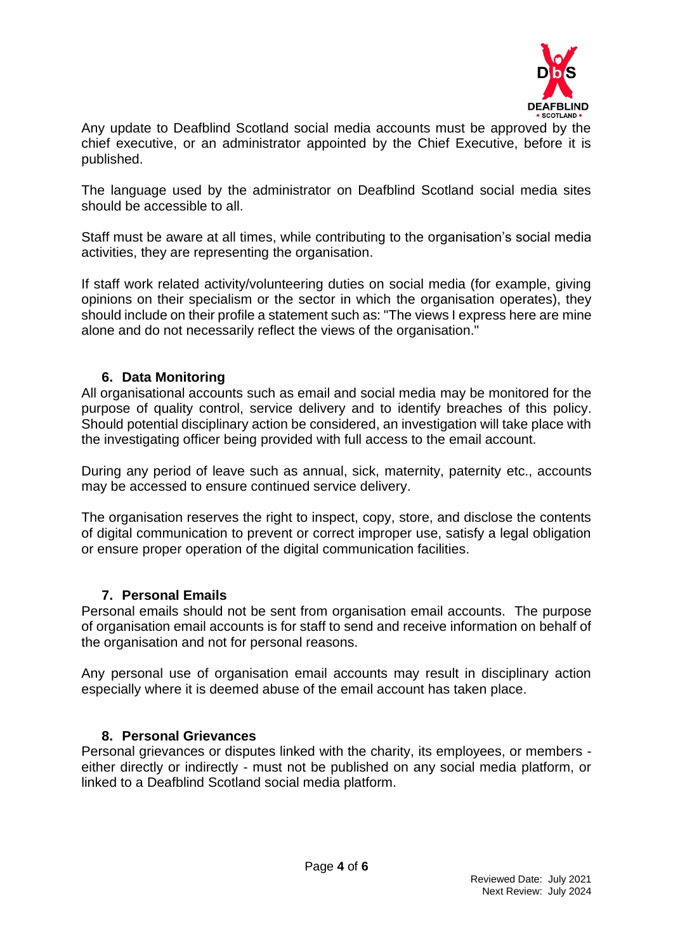

Any update to Deafblind Scotland social media accounts must be approved by the chief executive, or an administrator appointed by the Chief Executive, before it is published.

The language used by the administrator on Deafblind Scotland social media sites should be accessible to all.

Staff must be aware at all times, while contributing to the organisation's social media activities, they are representing the organisation.

If staff work related activity/volunteering duties on social media (for example, giving opinions on their specialism or the sector in which the organisation operates), they should include on their profile a statement such as: "The views I express here are mine alone and do not necessarily reflect the views of the organisation."

# **6. Data Monitoring**

All organisational accounts such as email and social media may be monitored for the purpose of quality control, service delivery and to identify breaches of this policy. Should potential disciplinary action be considered, an investigation will take place with the investigating officer being provided with full access to the email account.

During any period of leave such as annual, sick, maternity, paternity etc., accounts may be accessed to ensure continued service delivery.

The organisation reserves the right to inspect, copy, store, and disclose the contents of digital communication to prevent or correct improper use, satisfy a legal obligation or ensure proper operation of the digital communication facilities.

#### **7. Personal Emails**

Personal emails should not be sent from organisation email accounts. The purpose of organisation email accounts is for staff to send and receive information on behalf of the organisation and not for personal reasons.

Any personal use of organisation email accounts may result in disciplinary action especially where it is deemed abuse of the email account has taken place.

#### **8. Personal Grievances**

Personal grievances or disputes linked with the charity, its employees, or members either directly or indirectly - must not be published on any social media platform, or linked to a Deafblind Scotland social media platform.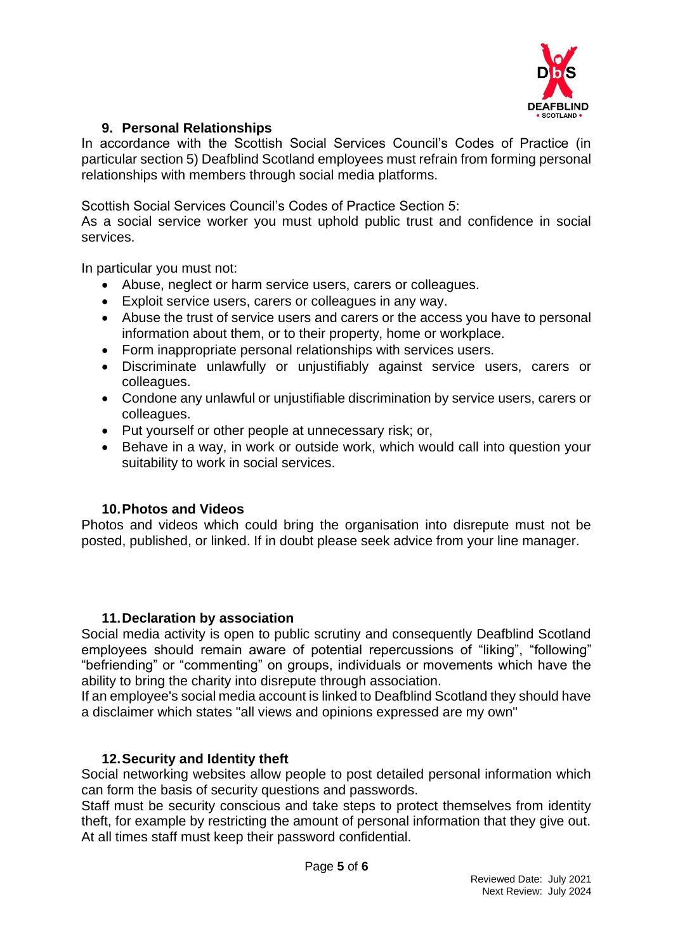

# **9. Personal Relationships**

In accordance with the Scottish Social Services Council's Codes of Practice (in particular section 5) Deafblind Scotland employees must refrain from forming personal relationships with members through social media platforms.

Scottish Social Services Council's Codes of Practice Section 5:

As a social service worker you must uphold public trust and confidence in social services.

In particular you must not:

- Abuse, neglect or harm service users, carers or colleagues.
- Exploit service users, carers or colleagues in any way.
- Abuse the trust of service users and carers or the access you have to personal information about them, or to their property, home or workplace.
- Form inappropriate personal relationships with services users.
- Discriminate unlawfully or unjustifiably against service users, carers or colleagues.
- Condone any unlawful or unjustifiable discrimination by service users, carers or colleagues.
- Put yourself or other people at unnecessary risk; or,
- Behave in a way, in work or outside work, which would call into question your suitability to work in social services.

#### **10.Photos and Videos**

Photos and videos which could bring the organisation into disrepute must not be posted, published, or linked. If in doubt please seek advice from your line manager.

#### **11.Declaration by association**

Social media activity is open to public scrutiny and consequently Deafblind Scotland employees should remain aware of potential repercussions of "liking", "following" "befriending" or "commenting" on groups, individuals or movements which have the ability to bring the charity into disrepute through association.

If an employee's social media account is linked to Deafblind Scotland they should have a disclaimer which states "all views and opinions expressed are my own"

# **12.Security and Identity theft**

Social networking websites allow people to post detailed personal information which can form the basis of security questions and passwords.

Staff must be security conscious and take steps to protect themselves from identity theft, for example by restricting the amount of personal information that they give out. At all times staff must keep their password confidential.